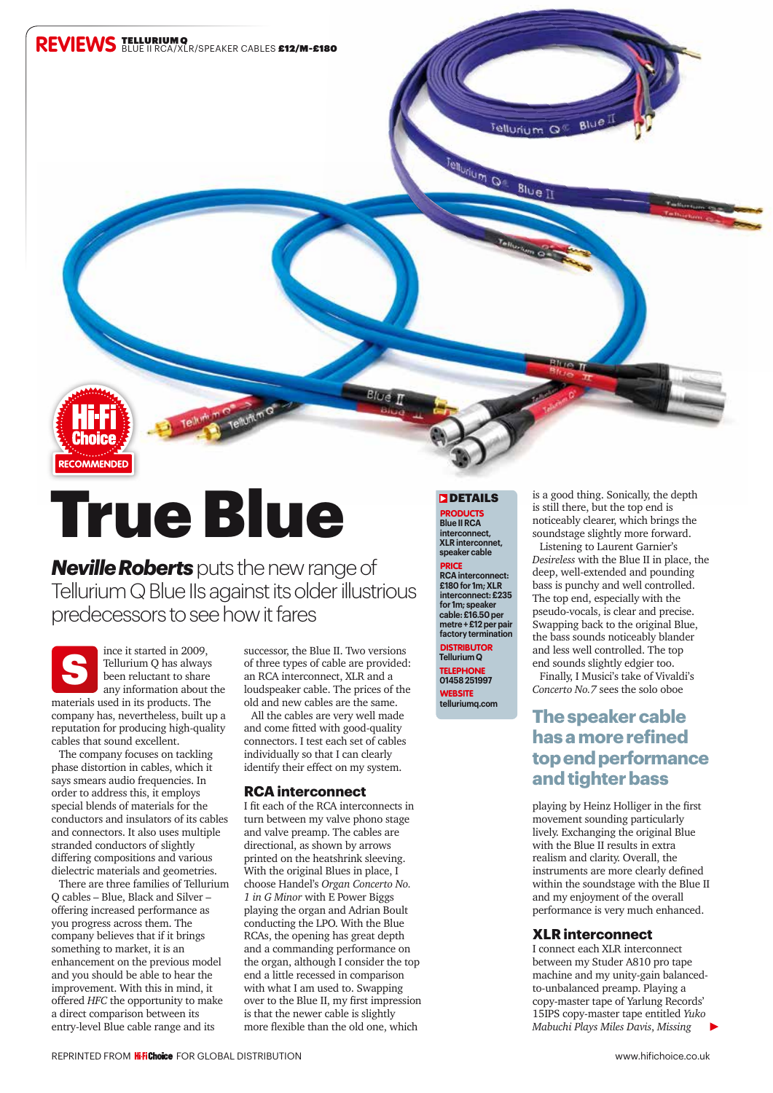

# True Blue

*Neville Roberts* puts the new range of Tellurium Q Blue IIs against its older illustrious predecessors to see how it fares



ince it started in 2009, Tellurium Q has always been reluctant to share any information about the

materials used in its products. The company has, nevertheless, built up a reputation for producing high-quality cables that sound excellent.

The company focuses on tackling phase distortion in cables, which it says smears audio frequencies. In order to address this, it employs special blends of materials for the conductors and insulators of its cables and connectors. It also uses multiple stranded conductors of slightly differing compositions and various dielectric materials and geometries.

There are three families of Tellurium Q cables – Blue, Black and Silver – offering increased performance as you progress across them. The company believes that if it brings something to market, it is an enhancement on the previous model and you should be able to hear the improvement. With this in mind, it offered *HFC* the opportunity to make a direct comparison between its entry-level Blue cable range and its

successor, the Blue II. Two versions of three types of cable are provided: an RCA interconnect, XLR and a loudspeaker cable. The prices of the old and new cables are the same.

All the cables are very well made and come fitted with good-quality connectors. I test each set of cables individually so that I can clearly identify their effect on my system.

## **RCA interconnect**

I fit each of the RCA interconnects in turn between my valve phono stage and valve preamp. The cables are directional, as shown by arrows printed on the heatshrink sleeving. With the original Blues in place, I choose Handel's *Organ Concerto No. 1 in G Minor* with E Power Biggs playing the organ and Adrian Boult conducting the LPO. With the Blue RCAs, the opening has great depth and a commanding performance on the organ, although I consider the top end a little recessed in comparison with what I am used to. Swapping over to the Blue II, my first impression is that the newer cable is slightly more flexible than the old one, which

#### **DETAILS**

PRODUCTS **Blue II RCA interconnect, XLR interconnet, speaker cable**

PRICE **RCA interconnect: £180 for 1m; XLR interconnect: £235 for 1m; speaker cable: £16.50 per metre + £12 per pair factory termination** DISTRIBUTOR **Tellurium Q TELEPHONE** 

**01458 251997 WEBSITE telluriumq.com** is a good thing. Sonically, the depth is still there, but the top end is noticeably clearer, which brings the soundstage slightly more forward.

Listening to Laurent Garnier's *Desireless* with the Blue II in place, the deep, well-extended and pounding bass is punchy and well controlled. The top end, especially with the pseudo-vocals, is clear and precise. Swapping back to the original Blue, the bass sounds noticeably blander and less well controlled. The top end sounds slightly edgier too.

Finally, I Musici's take of Vivaldi's *Concerto No.7* sees the solo oboe

# **The speaker cable has a more refined top end performance and tighter bass**

playing by Heinz Holliger in the first movement sounding particularly lively. Exchanging the original Blue with the Blue II results in extra realism and clarity. Overall, the instruments are more clearly defined within the soundstage with the Blue II and my enjoyment of the overall performance is very much enhanced.

## **XLR interconnect**

I connect each XLR interconnect between my Studer A810 pro tape machine and my unity-gain balancedto-unbalanced preamp. Playing a copy-master tape of Yarlung Records' 15IPS copy-master tape entitled *Yuko Mabuchi Plays Miles Davis*, *Missing*